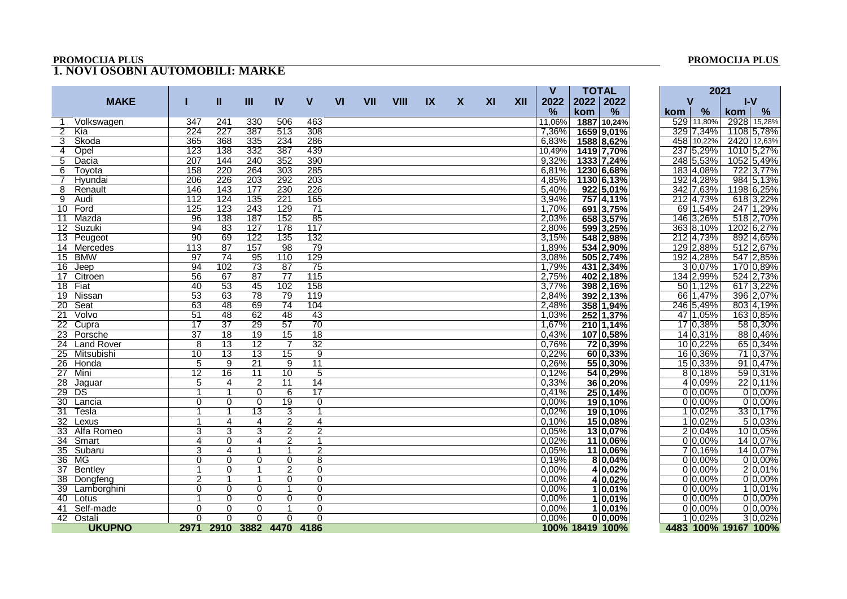## **PROMOCIJA PLUS PROMOCIJA PLUS**

## **1. NOVI OSOBNI AUTOMOBILI: MARKE**

|                        |                  |                          |                  |                  |                  |           |            |             |                         |   |    |     | $\mathsf{V}$  | <b>TOTAL</b>    |              |            | 2021        |                       |
|------------------------|------------------|--------------------------|------------------|------------------|------------------|-----------|------------|-------------|-------------------------|---|----|-----|---------------|-----------------|--------------|------------|-------------|-----------------------|
| <b>MAKE</b>            |                  | Ш                        | $\mathbf{m}$     | IV               | V                | <b>VI</b> | <b>VII</b> | <b>VIII</b> | $\mathsf{I} \mathsf{X}$ | X | XI | XII | 2022          |                 | 2022 2022    | v          |             | $I-V$                 |
|                        |                  |                          |                  |                  |                  |           |            |             |                         |   |    |     | $\frac{9}{6}$ | kom             | %            | <b>kom</b> | %           | $\frac{6}{10}$<br>kom |
| Volkswagen             | 347              | 241                      | 330              | 506              | 463              |           |            |             |                         |   |    |     | 11,06%        |                 | 1887 10,24%  |            | 529 11,80%  | 2928 15,28%           |
| 2 Kia                  | 224              | 227                      | 387              | 513              | 308              |           |            |             |                         |   |    |     | 7,36%         |                 | 1659 9,01%   |            | 329 7,34%   | 1108 5,78%            |
| Skoda<br>3             | 365              | 368                      | 335              | 234              | 286              |           |            |             |                         |   |    |     | 6,83%         |                 | 1588 8,62%   |            | 458 10,22%  | 2420 12,63%           |
| Opel<br>4              | 123              | 138                      | 332              | 387              | 439              |           |            |             |                         |   |    |     | 10,49%        |                 | 1419 7,70%   |            | 237 5,29%   | 1010 5,27%            |
| 5<br>Dacia             | 207              | 144                      | 240              | 352              | 390              |           |            |             |                         |   |    |     | 9,32%         |                 | 1333   7,24% |            | 248 5,53%   | 1052 5,49%            |
| 6<br>Toyota            | 158              | 220                      | 264              | $\overline{303}$ | 285              |           |            |             |                         |   |    |     | 6,81%         |                 | 1230 6,68%   |            | 183 4,08%   | 722 3,77%             |
| Hyundai<br>$7^{\circ}$ | $\overline{206}$ | $\overline{226}$         | $\overline{203}$ | 292              | $\overline{203}$ |           |            |             |                         |   |    |     | 4,85%         |                 | 1130 6,13%   |            | 192 4,28%   | 984 5,13%             |
| 8<br>Renault           | 146              | 143                      | 177              | 230              | 226              |           |            |             |                         |   |    |     | 5,40%         |                 | $922 5,01\%$ |            | 342 7,63%   | 1198 6,25%            |
| $\overline{9}$<br>Audi | 112              | 124                      | 135              | 221              | 165              |           |            |             |                         |   |    |     | 3,94%         |                 | 757 4,11%    |            | 212 4,73%   | 618 3,22%             |
| 10 Ford                | 125              | 123                      | 243              | 129              | 71               |           |            |             |                         |   |    |     | 1,70%         |                 | 691 3,75%    |            | 69 1,54%    | 247 1,29%             |
| 11<br>Mazda            | 96               | 138                      | 187              | 152              | 85               |           |            |             |                         |   |    |     | 2,03%         |                 | 658 3,57%    |            | 146 3,26%   | 518 2,70%             |
| 12 Suzuki              | 94               | 83                       | 127              | 178              | 117              |           |            |             |                         |   |    |     | 2,80%         |                 | 599 3,25%    |            | 363 8,10%   | 1202 6,27%            |
| 13 Peugeot             | 90               | 69                       | 122              | 135              | 132              |           |            |             |                         |   |    |     | 3,15%         |                 | 548 2,98%    |            | 212 4,73%   | 892 4,65%             |
| 14 Mercedes            | $\overline{113}$ | $\overline{87}$          | 157              | $\overline{98}$  | 79               |           |            |             |                         |   |    |     | 1,89%         |                 | 534 2,90%    |            | 129 2,88%   | 512 2,67%             |
| 15 BMW                 | 97               | $\overline{74}$          | 95               | 110              | 129              |           |            |             |                         |   |    |     | 3,08%         |                 | 505 2,74%    |            | 192 4,28%   | 547 2,85%             |
| 16<br>Jeep             | 94               | 102                      | 73               | 87               | 75               |           |            |             |                         |   |    |     | 1,79%         |                 | 431 2,34%    |            | 3 0,07%     | 170 0,89%             |
| 17<br>Citroen          | $\overline{56}$  | 67                       | $\overline{87}$  | $\overline{77}$  | 115              |           |            |             |                         |   |    |     | 2,75%         |                 | 402 2,18%    |            | 134 2,99%   | 524 2,73%             |
| 18 Fiat                | 40               | 53                       | 45               | 102              | 158              |           |            |             |                         |   |    |     | 3,77%         |                 | 398 2,16%    |            | 50 1,12%    | 617 3,22%             |
| 19 Nissan              | $\overline{53}$  | 63                       | 78               | 79               | 119              |           |            |             |                         |   |    |     | 2,84%         |                 | 392 2,13%    |            | 66 1,47%    | 396 2,07%             |
| Seat<br>20             | 63               | 48                       | 69               | 74               | 104              |           |            |             |                         |   |    |     | 2,48%         |                 | 358 1,94%    |            | 246 5,49%   | 803 4,19%             |
| Volvo<br>21            | 51               | 48                       | 62               | $\overline{48}$  | 43               |           |            |             |                         |   |    |     | 1,03%         |                 | 252 1,37%    |            | 47 1,05%    | 163 0,85%             |
| 22 Cupra               | $\overline{17}$  | $\overline{37}$          | $\overline{29}$  | 57               | $\overline{70}$  |           |            |             |                         |   |    |     | 1,67%         |                 | 210 1,14%    |            | 17 0,38%    | 58 0,30%              |
| 23 Porsche             | $\overline{37}$  | 18                       | 19               | 15               | 18               |           |            |             |                         |   |    |     | 0,43%         |                 | 107 0,58%    |            | 14 0,31%    | 88 0,46%              |
| 24 Land Rover          | 8                | $\overline{13}$          | 12               | 7                | $\overline{32}$  |           |            |             |                         |   |    |     | 0,76%         |                 | 72 0,39%     |            | 10 0,22%    | 65 0,34%              |
| 25 Mitsubishi          | 10               | $\overline{13}$          | $\overline{13}$  | 15               | 9                |           |            |             |                         |   |    |     | 0,22%         |                 | 60 0,33%     |            | 16 0, 36%   | 71 0,37%              |
| 26 Honda               | 5                | 9                        | 21               | 9                | 11               |           |            |             |                         |   |    |     | 0,26%         |                 | 55 0,30%     |            | $15 0,33\%$ | 91 0,47%              |
| 27<br>Mini             | $\overline{12}$  | 16                       | 11               | 10               | 5                |           |            |             |                         |   |    |     | 0,12%         |                 | 54 0,29%     |            | $8 0,18\%$  | 59 0,31%              |
| 28<br>Jaquar           | 5                | 4                        | 2                | 11               | 14               |           |            |             |                         |   |    |     | 0,33%         |                 | 36 0,20%     |            | $4 0,09\%$  | 22 0,11%              |
| DS<br>29               | 1                | 1                        | $\mathbf 0$      | 6                | 17               |           |            |             |                         |   |    |     | 0,41%         |                 | 25 0,14%     |            | $0 0,00\%$  | $0 0,00\%$            |
| 30 Lancia              | $\mathbf 0$      | 0                        | $\mathbf 0$      | $\overline{19}$  | $\mathbf 0$      |           |            |             |                         |   |    |     | 0,00%         |                 | $19 0,10\%$  |            | $0 0,00\%$  | $0 0,00\%$            |
| Tesla<br>31            | $\mathbf{1}$     | $\mathbf{1}$             | 13               | 3                | $\mathbf{1}$     |           |            |             |                         |   |    |     | 0,02%         |                 | $19 0,10\%$  |            | $1 0,02\%$  | 33 0,17%              |
| 32 Lexus               | 1                | 4                        | 4                | $\overline{2}$   | 4                |           |            |             |                         |   |    |     | 0,10%         |                 | 15 0,08%     |            | $1 0,02\%$  | 50,03%                |
| 33 Alfa Romeo          | $\overline{3}$   | $\overline{3}$           | $\overline{3}$   | $\overline{2}$   | $\overline{2}$   |           |            |             |                         |   |    |     | 0,05%         |                 | 13 0,07%     |            | $2 0,04\%$  | 10 0,05%              |
| 34 Smart               | 4                | 0                        | 4                | 2                | 1                |           |            |             |                         |   |    |     | 0,02%         |                 | 11 0,06%     |            | $0 0,00\%$  | 14 0,07%              |
| 35 Subaru              | 3                | 4                        | 1                | -1               | $\overline{2}$   |           |            |             |                         |   |    |     | 0,05%         |                 | 11 0,06%     |            | $7 0,16\%$  | 14 0,07%              |
| 36 MG                  | 0                | $\Omega$                 | $\Omega$         | $\Omega$         | 8                |           |            |             |                         |   |    |     | 0.19%         |                 | $8 0,04\%$   |            | $0 0,00\%$  | $0 0,00\%$            |
| 37 Bentley             | 1                | 0                        | 1                | $\overline{2}$   | $\Omega$         |           |            |             |                         |   |    |     | 0,00%         |                 | 4 0,02%      |            | $0 0,00\%$  | $2 0,01\%$            |
| 38 Dongfeng            | $\overline{2}$   | $\mathbf{1}$             | 1                | $\mathbf 0$      | $\Omega$         |           |            |             |                         |   |    |     | 0,00%         |                 | 4 0,02%      |            | $0 0,00\%$  | $0 0,00\%$            |
| 39 Lamborghini         | $\overline{0}$   | 0                        | 0                | $\mathbf{1}$     | $\overline{0}$   |           |            |             |                         |   |    |     | $0.00\%$      |                 | 1 0,01%      |            | $0 0,00\%$  | 1 0,01%               |
| 40 Lotus               | 1                | $\Omega$                 | 0                | 0                | 0                |           |            |             |                         |   |    |     | 0,00%         |                 | $1 0,01\%$   |            | $0 0,00\%$  | $0 0,00\%$            |
| 41 Self-made           | $\Omega$         | $\Omega$                 | $\Omega$         | $\mathbf 1$      | $\Omega$         |           |            |             |                         |   |    |     | 0.00%         |                 | $1 0,01\%$   |            | $0 0,00\%$  | $0 0,00\%$            |
| 42 Ostali              | $\overline{0}$   | 0                        | $\Omega$         | $\Omega$         | $\Omega$         |           |            |             |                         |   |    |     | 0,00%         |                 | $0 0,00\%$   |            | $1 0,02\% $ | 3 0,02%               |
| <b>UKUPNO</b>          |                  | 2971 2910 3882 4470 4186 |                  |                  |                  |           |            |             |                         |   |    |     |               | 100% 18419 100% |              |            |             |                       |
|                        |                  |                          |                  |                  |                  |           |            |             |                         |   |    |     |               |                 |              |            |             | 4483 100% 19167 100%  |